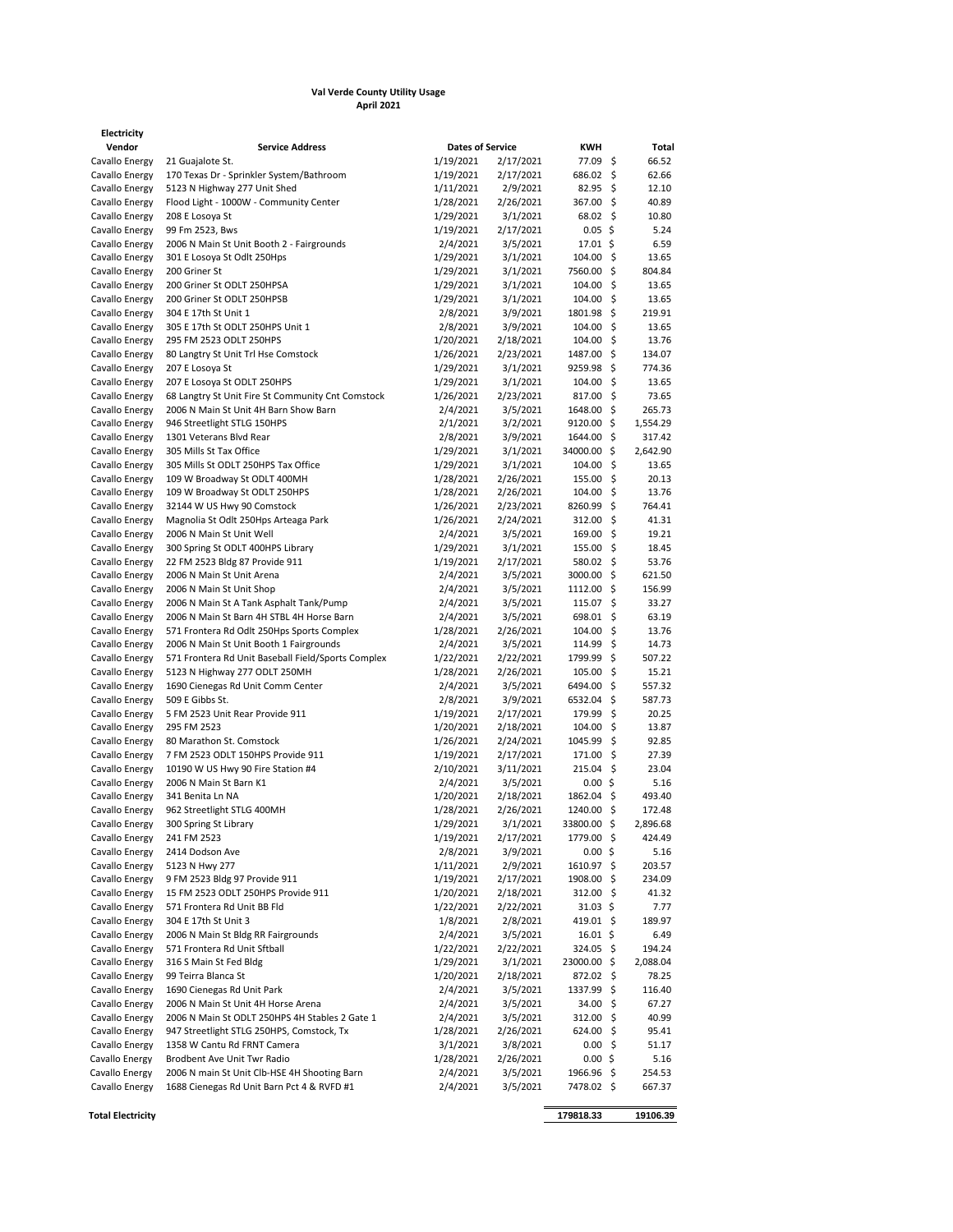## **Val Verde County Utility Usage April 2021**

| Electricity                      |                                                                          |                         |                        |                       |     |                  |
|----------------------------------|--------------------------------------------------------------------------|-------------------------|------------------------|-----------------------|-----|------------------|
| Vendor                           | <b>Service Address</b>                                                   | <b>Dates of Service</b> |                        | KWH                   |     | Total            |
| Cavallo Energy                   | 21 Guajalote St.                                                         | 1/19/2021               | 2/17/2021              | 77.09 \$              |     | 66.52            |
| Cavallo Energy                   | 170 Texas Dr - Sprinkler System/Bathroom                                 | 1/19/2021               | 2/17/2021              | 686.02                | \$  | 62.66            |
| Cavallo Energy                   | 5123 N Highway 277 Unit Shed                                             | 1/11/2021               | 2/9/2021               | 82.95                 | \$  | 12.10            |
| Cavallo Energy                   | Flood Light - 1000W - Community Center                                   | 1/28/2021               | 2/26/2021              | 367.00 \$             |     | 40.89            |
| Cavallo Energy                   | 208 E Losoya St                                                          | 1/29/2021               | 3/1/2021<br>2/17/2021  | $68.02 \quad$ \$      |     | 10.80            |
| Cavallo Energy                   | 99 Fm 2523, Bws                                                          | 1/19/2021               |                        | $0.05$ \$             |     | 5.24<br>6.59     |
| Cavallo Energy<br>Cavallo Energy | 2006 N Main St Unit Booth 2 - Fairgrounds<br>301 E Losoya St Odlt 250Hps | 2/4/2021<br>1/29/2021   | 3/5/2021<br>3/1/2021   | 17.01 \$<br>104.00%   |     | 13.65            |
| Cavallo Energy                   | 200 Griner St                                                            | 1/29/2021               | 3/1/2021               | 7560.00 \$            |     | 804.84           |
| Cavallo Energy                   | 200 Griner St ODLT 250HPSA                                               | 1/29/2021               | 3/1/2021               | $104.00\frac{1}{5}$   |     | 13.65            |
| Cavallo Energy                   | 200 Griner St ODLT 250HPSB                                               | 1/29/2021               | 3/1/2021               | 104.00 \$             |     | 13.65            |
| Cavallo Energy                   | 304 E 17th St Unit 1                                                     | 2/8/2021                | 3/9/2021               | 1801.98 \$            |     | 219.91           |
| Cavallo Energy                   | 305 E 17th St ODLT 250HPS Unit 1                                         | 2/8/2021                | 3/9/2021               | 104.00                | \$  | 13.65            |
| Cavallo Energy                   | 295 FM 2523 ODLT 250HPS                                                  | 1/20/2021               | 2/18/2021              | 104.00                | \$  | 13.76            |
| Cavallo Energy                   | 80 Langtry St Unit Trl Hse Comstock                                      | 1/26/2021               | 2/23/2021              | 1487.00 \$            |     | 134.07           |
| Cavallo Energy                   | 207 E Losoya St                                                          | 1/29/2021               | 3/1/2021               | $9259.98$ \$          |     | 774.36           |
| Cavallo Energy                   | 207 E Losoya St ODLT 250HPS                                              | 1/29/2021               | 3/1/2021               | 104.00 \$             |     | 13.65            |
| Cavallo Energy                   | 68 Langtry St Unit Fire St Community Cnt Comstock                        | 1/26/2021               | 2/23/2021              | 817.00 \$             |     | 73.65            |
| Cavallo Energy                   | 2006 N Main St Unit 4H Barn Show Barn                                    | 2/4/2021                | 3/5/2021               | 1648.00 \$            |     | 265.73           |
| Cavallo Energy                   | 946 Streetlight STLG 150HPS                                              | 2/1/2021                | 3/2/2021               | $9120.00$ \$          |     | 1,554.29         |
| Cavallo Energy                   | 1301 Veterans Blvd Rear                                                  | 2/8/2021                | 3/9/2021               | 1644.00 \$            |     | 317.42           |
| Cavallo Energy                   | 305 Mills St Tax Office                                                  | 1/29/2021               | 3/1/2021               | 34000.00 \$           |     | 2,642.90         |
| Cavallo Energy                   | 305 Mills St ODLT 250HPS Tax Office                                      | 1/29/2021               | 3/1/2021               | $104.00 \div$         |     | 13.65            |
| Cavallo Energy                   | 109 W Broadway St ODLT 400MH                                             | 1/28/2021               | 2/26/2021              | $155.00\frac{1}{5}$   |     | 20.13            |
| Cavallo Energy                   | 109 W Broadway St ODLT 250HPS                                            | 1/28/2021               | 2/26/2021              | $104.00\frac{1}{5}$   |     | 13.76            |
| Cavallo Energy                   | 32144 W US Hwy 90 Comstock                                               | 1/26/2021               | 2/23/2021              | 8260.99 \$            |     | 764.41           |
| Cavallo Energy                   | Magnolia St Odlt 250Hps Arteaga Park                                     | 1/26/2021               | 2/24/2021              | 312.00%               |     | 41.31            |
| Cavallo Energy                   | 2006 N Main St Unit Well                                                 | 2/4/2021<br>1/29/2021   | 3/5/2021               | 169.00<br>155.00 \$   | \$  | 19.21<br>18.45   |
| Cavallo Energy<br>Cavallo Energy | 300 Spring St ODLT 400HPS Library<br>22 FM 2523 Bldg 87 Provide 911      | 1/19/2021               | 3/1/2021<br>2/17/2021  | 580.02 \$             |     | 53.76            |
| Cavallo Energy                   | 2006 N Main St Unit Arena                                                | 2/4/2021                | 3/5/2021               | 3000.00 \$            |     | 621.50           |
| Cavallo Energy                   | 2006 N Main St Unit Shop                                                 | 2/4/2021                | 3/5/2021               | 1112.00 \$            |     | 156.99           |
| Cavallo Energy                   | 2006 N Main St A Tank Asphalt Tank/Pump                                  | 2/4/2021                | 3/5/2021               | 115.07                | \$  | 33.27            |
| Cavallo Energy                   | 2006 N Main St Barn 4H STBL 4H Horse Barn                                | 2/4/2021                | 3/5/2021               | 698.01                | \$. | 63.19            |
| Cavallo Energy                   | 571 Frontera Rd Odlt 250Hps Sports Complex                               | 1/28/2021               | 2/26/2021              | 104.00 \$             |     | 13.76            |
| Cavallo Energy                   | 2006 N Main St Unit Booth 1 Fairgrounds                                  | 2/4/2021                | 3/5/2021               | 114.99                | \$  | 14.73            |
| Cavallo Energy                   | 571 Frontera Rd Unit Baseball Field/Sports Complex                       | 1/22/2021               | 2/22/2021              | 1799.99               | \$  | 507.22           |
| Cavallo Energy                   | 5123 N Highway 277 ODLT 250MH                                            | 1/28/2021               | 2/26/2021              | 105.00                | \$  | 15.21            |
| Cavallo Energy                   | 1690 Cienegas Rd Unit Comm Center                                        | 2/4/2021                | 3/5/2021               | 6494.00               | \$  | 557.32           |
| Cavallo Energy                   | 509 E Gibbs St.                                                          | 2/8/2021                | 3/9/2021               | 6532.04               | \$  | 587.73           |
| Cavallo Energy                   | 5 FM 2523 Unit Rear Provide 911                                          | 1/19/2021               | 2/17/2021              | 179.99                | \$. | 20.25            |
| Cavallo Energy                   | 295 FM 2523                                                              | 1/20/2021               | 2/18/2021              | 104.00 \$             |     | 13.87            |
| Cavallo Energy                   | 80 Marathon St. Comstock                                                 | 1/26/2021               | 2/24/2021              | 1045.99               | \$. | 92.85            |
| Cavallo Energy                   | 7 FM 2523 ODLT 150HPS Provide 911                                        | 1/19/2021               | 2/17/2021              | 171.00 \$             |     | 27.39            |
| Cavallo Energy                   | 10190 W US Hwy 90 Fire Station #4                                        | 2/10/2021               | 3/11/2021              | $215.04$ \$           |     | 23.04            |
| Cavallo Energy                   | 2006 N Main St Barn K1                                                   | 2/4/2021                | 3/5/2021               | 0.00%                 |     | 5.16             |
| Cavallo Energy<br>Cavallo Energy | 341 Benita Ln NA<br>962 Streetlight STLG 400MH                           | 1/20/2021<br>1/28/2021  | 2/18/2021<br>2/26/2021 | 1862.04<br>1240.00 \$ | \$  | 493.40<br>172.48 |
| Cavallo Energy                   | 300 Spring St Library                                                    | 1/29/2021               | 3/1/2021               | 33800.00 \$           |     | 2,896.68         |
| Cavallo Energy                   | 241 FM 2523                                                              | 1/19/2021               | 2/17/2021              | 1779.00 \$            |     | 424.49           |
| Cavallo Energy                   | 2414 Dodson Ave                                                          | 2/8/2021                | 3/9/2021               | 0.00%                 |     | 5.16             |
| Cavallo Energy                   | 5123 N Hwy 277                                                           | 1/11/2021               | 2/9/2021               | 1610.97 \$            |     | 203.57           |
| Cavallo Energy                   | 9 FM 2523 Bldg 97 Provide 911                                            | 1/19/2021               | 2/17/2021              | 1908.00 \$            |     | 234.09           |
| Cavallo Energy                   | 15 FM 2523 ODLT 250HPS Provide 911                                       | 1/20/2021               | 2/18/2021              | 312.00 \$             |     | 41.32            |
| Cavallo Energy                   | 571 Frontera Rd Unit BB Fld                                              | 1/22/2021               | 2/22/2021              | 31.03 \$              |     | 7.77             |
| Cavallo Energy                   | 304 E 17th St Unit 3                                                     | 1/8/2021                | 2/8/2021               | 419.01 \$             |     | 189.97           |
| Cavallo Energy                   | 2006 N Main St Bldg RR Fairgrounds                                       | 2/4/2021                | 3/5/2021               | $16.01 \; \text{S}$   |     | 6.49             |
| Cavallo Energy                   | 571 Frontera Rd Unit Sftball                                             | 1/22/2021               | 2/22/2021              | 324.05 \$             |     | 194.24           |
| Cavallo Energy                   | 316 S Main St Fed Bldg                                                   | 1/29/2021               | 3/1/2021               | 23000.00 \$           |     | 2,088.04         |
| Cavallo Energy                   | 99 Teirra Blanca St                                                      | 1/20/2021               | 2/18/2021              | 872.02 \$             |     | 78.25            |
| Cavallo Energy                   | 1690 Cienegas Rd Unit Park                                               | 2/4/2021                | 3/5/2021               | 1337.99 \$            |     | 116.40           |
| Cavallo Energy                   | 2006 N Main St Unit 4H Horse Arena                                       | 2/4/2021                | 3/5/2021               | 34.00 \$              |     | 67.27            |
| Cavallo Energy                   | 2006 N Main St ODLT 250HPS 4H Stables 2 Gate 1                           | 2/4/2021                | 3/5/2021               | $312.00$ \$           |     | 40.99            |
| Cavallo Energy                   | 947 Streetlight STLG 250HPS, Comstock, Tx                                | 1/28/2021               | 2/26/2021              | $624.00$ \$           |     | 95.41            |
| Cavallo Energy                   | 1358 W Cantu Rd FRNT Camera                                              | 3/1/2021                | 3/8/2021               | 0.00%                 |     | 51.17            |
| Cavallo Energy                   | Brodbent Ave Unit Twr Radio                                              | 1/28/2021               | 2/26/2021              | $0.00$ \$             |     | 5.16             |
| Cavallo Energy                   | 2006 N main St Unit Clb-HSE 4H Shooting Barn                             | 2/4/2021                | 3/5/2021               | 1966.96 \$            |     | 254.53           |
| Cavallo Energy                   | 1688 Cienegas Rd Unit Barn Pct 4 & RVFD #1                               | 2/4/2021                | 3/5/2021               | 7478.02 \$            |     | 667.37           |

**Total Electricity 179818.33 19106.39**